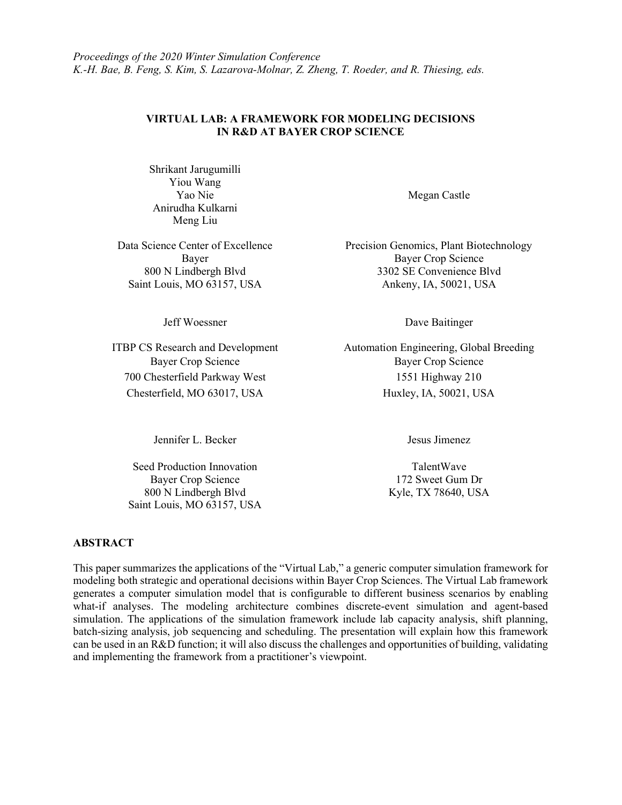#### VIRTUAL LAB: A FRAMEWORK FOR MODELING DECISIONS IN R&D AT BAYER CROP SCIENCE

Shrikant Jarugumilli Yiou Wang Yao Nie Anirudha Kulkarni Meng Liu

Jeff Woessner

ITBP CS Research and Development 700 Chesterfield Parkway West 1551 Highway 210 Chesterfield, MO 63017, USA Huxley, IA, 50021, USA

Jennifer L. Becker Jesus Jimenez

Seed Production Innovation Bayer Crop Science 800 N Lindbergh Blvd Saint Louis, MO 63157, USA Megan Castle

Data Science Center of Excellence Precision Genomics, Plant Biotechnology Bayer Crop Science 800 N Lindbergh Blvd 3302 SE Convenience Blvd Saint Louis, MO 63157, USA Ankeny, IA, 50021, USA

Dave Baitinger

Automation Engineering, Global Breeding Bayer Crop Science Bayer Crop Science

TalentWave 172 Sweet Gum Dr Kyle, TX 78640, USA

#### ABSTRACT

This paper summarizes the applications of the "Virtual Lab," a generic computer simulation framework for modeling both strategic and operational decisions within Bayer Crop Sciences. The Virtual Lab framework generates a computer simulation model that is configurable to different business scenarios by enabling what-if analyses. The modeling architecture combines discrete-event simulation and agent-based simulation. The applications of the simulation framework include lab capacity analysis, shift planning, batch-sizing analysis, job sequencing and scheduling. The presentation will explain how this framework can be used in an R&D function; it will also discuss the challenges and opportunities of building, validating and implementing the framework from a practitioner's viewpoint.